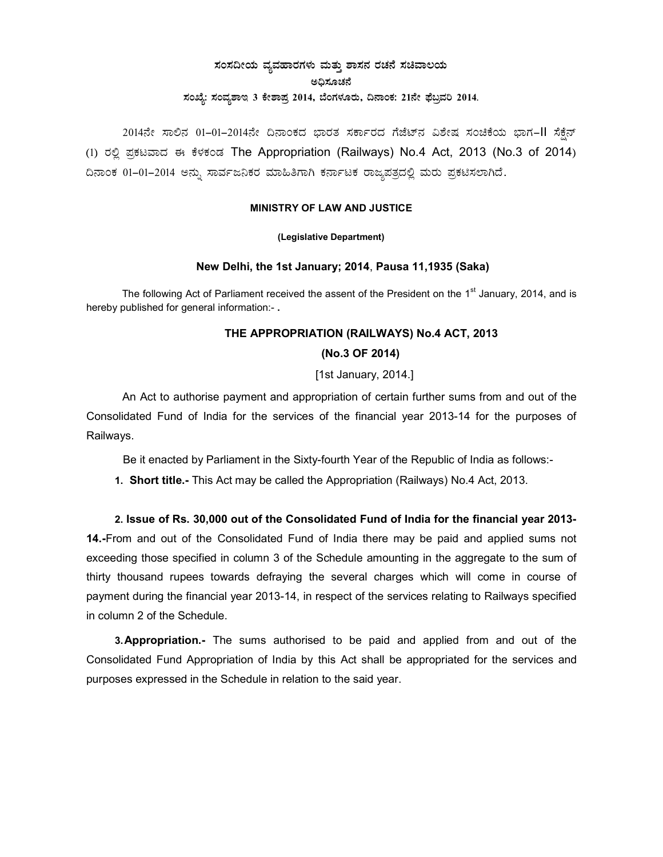# ಸಂಸದೀಯ ವ್ಯವಹಾರಗಳು ಮತ್ತು ಶಾಸನ ರಚನೆ ಸಚಿವಾಲಯ ಅಧಿಸೂಚನೆ ಸಂಖ್ಯೆ: ಸಂವ್ಯಶಾಇ 3 ಕೇಶಾಪ್ರ 2014, ಬೆಂಗಳೂರು, ದಿನಾಂಕ: 21ನೇ ಫೆಬ್ರವರಿ 2014.

2014ನೇ ಸಾಲಿನ 01-01-2014ನೇ ದಿನಾಂಕದ ಭಾರತ ಸರ್ಕಾರದ ಗೆಜೆಟ್ನ ವಿಶೇಷ ಸಂಚಿಕೆಯ ಭಾಗ-II ಸೆಕ್ಷೆನ್ (1) ರಲ್ಲಿ ಪ್ರಕಟವಾದ ಈ ಕೆಳಕಂಡ The Appropriation (Railways) No.4 Act, 2013 (No.3 of 2014) ದಿನಾಂಕ 01-01-2014 ಅನ್ನು ಸಾರ್ವಜನಿಕರ ಮಾಹಿತಿಗಾಗಿ ಕರ್ನಾಟಕ ರಾಜ್ಯಪತ್ರದಲ್ಲಿ ಮರು ಪ್ರಕಟಿಸಲಾಗಿದೆ.

#### MINISTRY OF LAW AND JUSTICE

#### (Legislative Department)

#### New Delhi, the 1st January; 2014, Pausa 11,1935 (Saka)

The following Act of Parliament received the assent of the President on the 1<sup>st</sup> January, 2014, and is hereby published for general information:-.

## THE APPROPRIATION (RAILWAYS) No.4 ACT, 2013

## (No.3 OF 2014)

## [1st January, 2014.]

An Act to authorise payment and appropriation of certain further sums from and out of the Consolidated Fund of India for the services of the financial year 2013-14 for the purposes of Railways.

Be it enacted by Parliament in the Sixty-fourth Year of the Republic of India as follows:-

1. Short title.- This Act may be called the Appropriation (Railways) No.4 Act, 2013.

2. Issue of Rs. 30,000 out of the Consolidated Fund of India for the financial year 2013-14.-From and out of the Consolidated Fund of India there may be paid and applied sums not exceeding those specified in column 3 of the Schedule amounting in the aggregate to the sum of thirty thousand rupees towards defraying the several charges which will come in course of payment during the financial year 2013-14, in respect of the services relating to Railways specified in column 2 of the Schedule

3. Appropriation.- The sums authorised to be paid and applied from and out of the Consolidated Fund Appropriation of India by this Act shall be appropriated for the services and purposes expressed in the Schedule in relation to the said year.